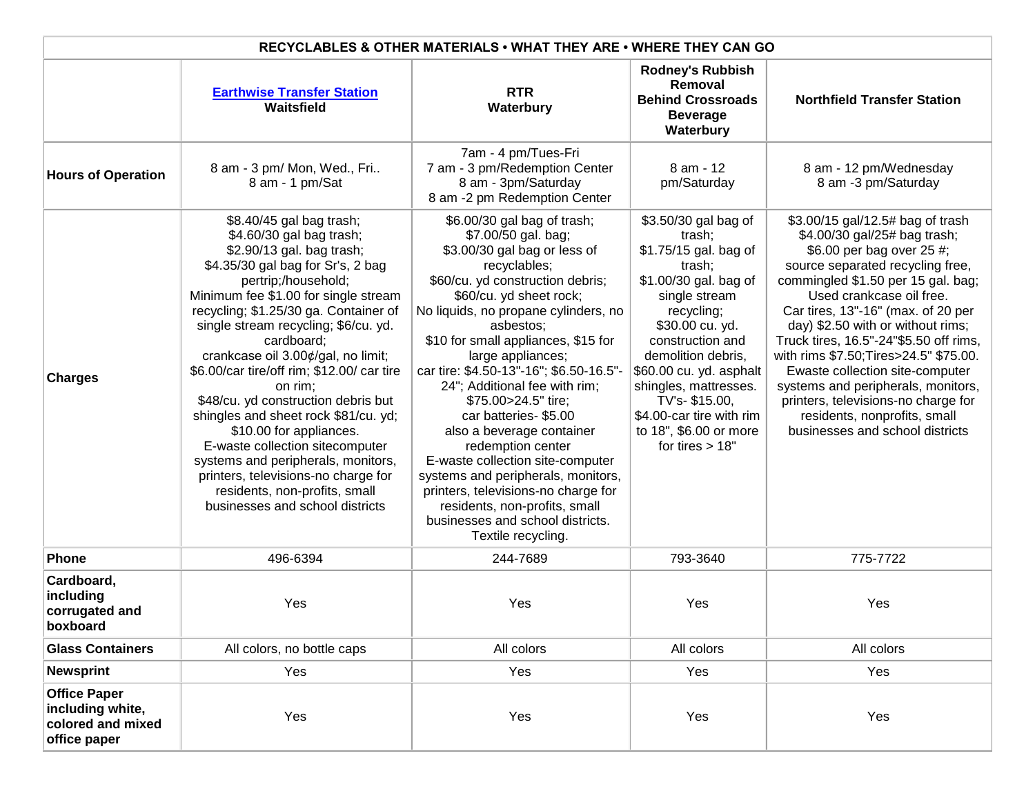| RECYCLABLES & OTHER MATERIALS • WHAT THEY ARE • WHERE THEY CAN GO            |                                                                                                                                                                                                                                                                                                                                                                                                                                                                                                                                                                                                                                                                                   |                                                                                                                                                                                                                                                                                                                                                                                                                                                                                                                                                                                                                                                                             |                                                                                                                                                                                                                                                                                                                                        |                                                                                                                                                                                                                                                                                                                                                                                                                                                                                                                                                       |  |  |
|------------------------------------------------------------------------------|-----------------------------------------------------------------------------------------------------------------------------------------------------------------------------------------------------------------------------------------------------------------------------------------------------------------------------------------------------------------------------------------------------------------------------------------------------------------------------------------------------------------------------------------------------------------------------------------------------------------------------------------------------------------------------------|-----------------------------------------------------------------------------------------------------------------------------------------------------------------------------------------------------------------------------------------------------------------------------------------------------------------------------------------------------------------------------------------------------------------------------------------------------------------------------------------------------------------------------------------------------------------------------------------------------------------------------------------------------------------------------|----------------------------------------------------------------------------------------------------------------------------------------------------------------------------------------------------------------------------------------------------------------------------------------------------------------------------------------|-------------------------------------------------------------------------------------------------------------------------------------------------------------------------------------------------------------------------------------------------------------------------------------------------------------------------------------------------------------------------------------------------------------------------------------------------------------------------------------------------------------------------------------------------------|--|--|
|                                                                              | <b>Earthwise Transfer Station</b><br>Waitsfield                                                                                                                                                                                                                                                                                                                                                                                                                                                                                                                                                                                                                                   | <b>RTR</b><br>Waterbury                                                                                                                                                                                                                                                                                                                                                                                                                                                                                                                                                                                                                                                     | <b>Rodney's Rubbish</b><br>Removal<br><b>Behind Crossroads</b><br><b>Beverage</b><br>Waterbury                                                                                                                                                                                                                                         | <b>Northfield Transfer Station</b>                                                                                                                                                                                                                                                                                                                                                                                                                                                                                                                    |  |  |
| <b>Hours of Operation</b>                                                    | 8 am - 3 pm/ Mon, Wed., Fri<br>8 am - 1 pm/Sat                                                                                                                                                                                                                                                                                                                                                                                                                                                                                                                                                                                                                                    | 7am - 4 pm/Tues-Fri<br>7 am - 3 pm/Redemption Center<br>8 am - 3pm/Saturday<br>8 am -2 pm Redemption Center                                                                                                                                                                                                                                                                                                                                                                                                                                                                                                                                                                 | 8 am - 12<br>pm/Saturday                                                                                                                                                                                                                                                                                                               | 8 am - 12 pm/Wednesday<br>8 am -3 pm/Saturday                                                                                                                                                                                                                                                                                                                                                                                                                                                                                                         |  |  |
| <b>Charges</b>                                                               | \$8.40/45 gal bag trash;<br>\$4.60/30 gal bag trash;<br>\$2.90/13 gal. bag trash;<br>\$4.35/30 gal bag for Sr's, 2 bag<br>pertrip;/household;<br>Minimum fee \$1.00 for single stream<br>recycling; \$1.25/30 ga. Container of<br>single stream recycling; \$6/cu. yd.<br>cardboard;<br>crankcase oil 3.00¢/gal, no limit;<br>\$6.00/car tire/off rim; \$12.00/ car tire<br>on rim:<br>\$48/cu. yd construction debris but<br>shingles and sheet rock \$81/cu. yd;<br>\$10.00 for appliances.<br>E-waste collection sitecomputer<br>systems and peripherals, monitors,<br>printers, televisions-no charge for<br>residents, non-profits, small<br>businesses and school districts | \$6.00/30 gal bag of trash;<br>\$7.00/50 gal. bag;<br>\$3.00/30 gal bag or less of<br>recyclables;<br>\$60/cu. yd construction debris;<br>\$60/cu. yd sheet rock;<br>No liquids, no propane cylinders, no<br>asbestos;<br>\$10 for small appliances, \$15 for<br>large appliances;<br>car tire: \$4.50-13"-16"; \$6.50-16.5"-<br>24"; Additional fee with rim;<br>\$75.00>24.5" tire;<br>car batteries-\$5.00<br>also a beverage container<br>redemption center<br>E-waste collection site-computer<br>systems and peripherals, monitors,<br>printers, televisions-no charge for<br>residents, non-profits, small<br>businesses and school districts.<br>Textile recycling. | \$3.50/30 gal bag of<br>trash:<br>\$1.75/15 gal. bag of<br>trash;<br>\$1.00/30 gal. bag of<br>single stream<br>recycling;<br>\$30.00 cu. yd.<br>construction and<br>demolition debris,<br>\$60.00 cu. yd. asphalt<br>shingles, mattresses.<br>TV's-\$15.00,<br>\$4.00-car tire with rim<br>to 18", \$6.00 or more<br>for tires $> 18"$ | \$3.00/15 gal/12.5# bag of trash<br>\$4.00/30 gal/25# bag trash;<br>\$6.00 per bag over 25 #;<br>source separated recycling free,<br>commingled \$1.50 per 15 gal. bag;<br>Used crankcase oil free.<br>Car tires, 13"-16" (max. of 20 per<br>day) \$2.50 with or without rims;<br>Truck tires, 16.5"-24"\$5.50 off rims,<br>with rims \$7.50; Tires>24.5" \$75.00.<br>Ewaste collection site-computer<br>systems and peripherals, monitors,<br>printers, televisions-no charge for<br>residents, nonprofits, small<br>businesses and school districts |  |  |
| <b>Phone</b>                                                                 | 496-6394                                                                                                                                                                                                                                                                                                                                                                                                                                                                                                                                                                                                                                                                          | 244-7689                                                                                                                                                                                                                                                                                                                                                                                                                                                                                                                                                                                                                                                                    | 793-3640                                                                                                                                                                                                                                                                                                                               | 775-7722                                                                                                                                                                                                                                                                                                                                                                                                                                                                                                                                              |  |  |
| Cardboard,<br>including<br>corrugated and<br>boxboard                        | Yes                                                                                                                                                                                                                                                                                                                                                                                                                                                                                                                                                                                                                                                                               | Yes                                                                                                                                                                                                                                                                                                                                                                                                                                                                                                                                                                                                                                                                         | Yes                                                                                                                                                                                                                                                                                                                                    | Yes                                                                                                                                                                                                                                                                                                                                                                                                                                                                                                                                                   |  |  |
| <b>Glass Containers</b>                                                      | All colors, no bottle caps                                                                                                                                                                                                                                                                                                                                                                                                                                                                                                                                                                                                                                                        | All colors                                                                                                                                                                                                                                                                                                                                                                                                                                                                                                                                                                                                                                                                  | All colors                                                                                                                                                                                                                                                                                                                             | All colors                                                                                                                                                                                                                                                                                                                                                                                                                                                                                                                                            |  |  |
| <b>Newsprint</b>                                                             | Yes                                                                                                                                                                                                                                                                                                                                                                                                                                                                                                                                                                                                                                                                               | Yes                                                                                                                                                                                                                                                                                                                                                                                                                                                                                                                                                                                                                                                                         | Yes                                                                                                                                                                                                                                                                                                                                    | Yes                                                                                                                                                                                                                                                                                                                                                                                                                                                                                                                                                   |  |  |
| <b>Office Paper</b><br>including white,<br>colored and mixed<br>office paper | Yes                                                                                                                                                                                                                                                                                                                                                                                                                                                                                                                                                                                                                                                                               | Yes                                                                                                                                                                                                                                                                                                                                                                                                                                                                                                                                                                                                                                                                         | Yes                                                                                                                                                                                                                                                                                                                                    | Yes                                                                                                                                                                                                                                                                                                                                                                                                                                                                                                                                                   |  |  |